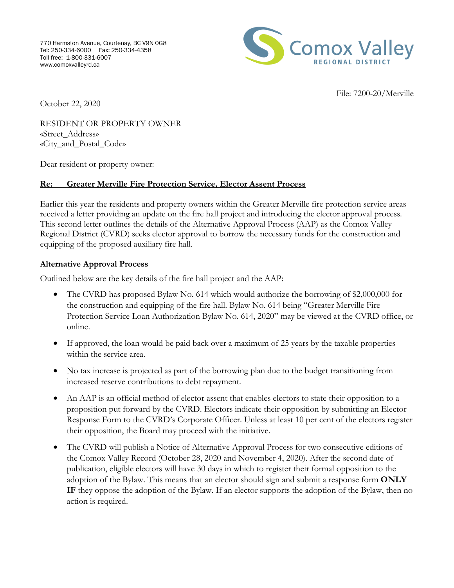

File: 7200-20/Merville

October 22, 2020

RESIDENT OR PROPERTY OWNER «Street\_Address» «City\_and\_Postal\_Code»

Dear resident or property owner:

## **Re: Greater Merville Fire Protection Service, Elector Assent Process**

Earlier this year the residents and property owners within the Greater Merville fire protection service areas received a letter providing an update on the fire hall project and introducing the elector approval process. This second letter outlines the details of the Alternative Approval Process (AAP) as the Comox Valley Regional District (CVRD) seeks elector approval to borrow the necessary funds for the construction and equipping of the proposed auxiliary fire hall.

## **Alternative Approval Process**

Outlined below are the key details of the fire hall project and the AAP:

- The CVRD has proposed Bylaw No. 614 which would authorize the borrowing of \$2,000,000 for the construction and equipping of the fire hall. Bylaw No. 614 being "Greater Merville Fire Protection Service Loan Authorization Bylaw No. 614, 2020" may be viewed at the CVRD office, or online.
- If approved, the loan would be paid back over a maximum of 25 years by the taxable properties within the service area.
- No tax increase is projected as part of the borrowing plan due to the budget transitioning from increased reserve contributions to debt repayment.
- An AAP is an official method of elector assent that enables electors to state their opposition to a proposition put forward by the CVRD. Electors indicate their opposition by submitting an Elector Response Form to the CVRD's Corporate Officer. Unless at least 10 per cent of the electors register their opposition, the Board may proceed with the initiative.
- The CVRD will publish a Notice of Alternative Approval Process for two consecutive editions of the Comox Valley Record (October 28, 2020 and November 4, 2020). After the second date of publication, eligible electors will have 30 days in which to register their formal opposition to the adoption of the Bylaw. This means that an elector should sign and submit a response form **ONLY IF** they oppose the adoption of the Bylaw. If an elector supports the adoption of the Bylaw, then no action is required.